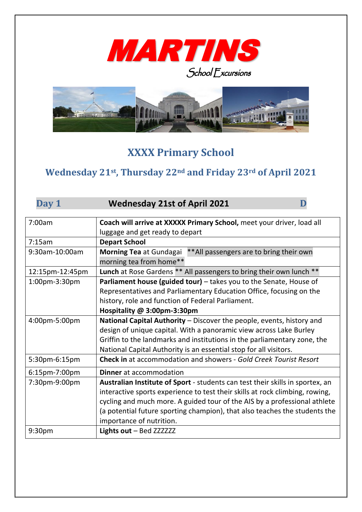



## **XXXX Primary School**

## **Wednesday 21st , Thursday 22nd and Friday 23rd of April 2021**

| Day 1           | <b>Wednesday 21st of April 2021</b>                                                         |
|-----------------|---------------------------------------------------------------------------------------------|
| 7:00am          | Coach will arrive at XXXXX Primary School, meet your driver, load all                       |
|                 | luggage and get ready to depart                                                             |
| 7:15am          | <b>Depart School</b>                                                                        |
| 9:30am-10:00am  | Morning Tea at Gundagai ** All passengers are to bring their own<br>morning tea from home** |
| 12:15pm-12:45pm | Lunch at Rose Gardens ** All passengers to bring their own lunch **                         |
| 1:00pm-3:30pm   | Parliament house (guided tour) - takes you to the Senate, House of                          |
|                 | Representatives and Parliamentary Education Office, focusing on the                         |
|                 | history, role and function of Federal Parliament.                                           |
|                 | Hospitality @ 3:00pm-3:30pm                                                                 |
| 4:00pm-5:00pm   | National Capital Authority - Discover the people, events, history and                       |
|                 | design of unique capital. With a panoramic view across Lake Burley                          |
|                 | Griffin to the landmarks and institutions in the parliamentary zone, the                    |
|                 | National Capital Authority is an essential stop for all visitors.                           |
| 5:30pm-6:15pm   | <b>Check in</b> at accommodation and showers - Gold Creek Tourist Resort                    |
| 6:15pm-7:00pm   | <b>Dinner</b> at accommodation                                                              |
| 7:30pm-9:00pm   | Australian Institute of Sport - students can test their skills in sportex, an               |
|                 | interactive sports experience to test their skills at rock climbing, rowing,                |
|                 | cycling and much more. A guided tour of the AIS by a professional athlete                   |
|                 | (a potential future sporting champion), that also teaches the students the                  |
|                 | importance of nutrition.                                                                    |
| 9:30pm          | Lights out - Bed ZZZZZZZ                                                                    |